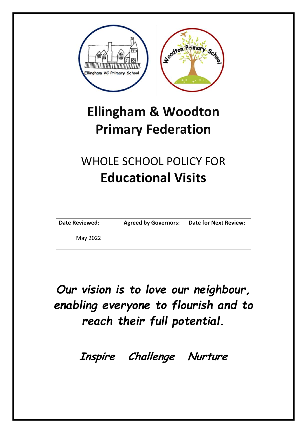

# **Ellingham & Woodton Primary Federation**

# WHOLE SCHOOL POLICY FOR **Educational Visits**

| Date Reviewed: | <b>Agreed by Governors:</b> | Date for Next Review: |
|----------------|-----------------------------|-----------------------|
| May 2022       |                             |                       |

# *Our vision is to love our neighbour, enabling everyone to flourish and to reach their full potential.*

**Inspire Challenge Nurture**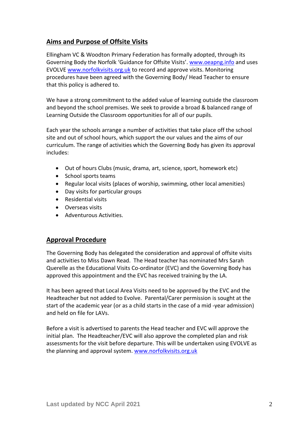# **Aims and Purpose of Offsite Visits**

Ellingham VC & Woodton Primary Federation has formally adopted, through its Governing Body the Norfolk 'Guidance for Offsite Visits'. [www.oeapng.info](http://www.oeapng.info/) and uses EVOLVE [www.norfolkvisits.org.uk](http://www.norfolkvisits.org.uk/) to record and approve visits. Monitoring procedures have been agreed with the Governing Body/ Head Teacher to ensure that this policy is adhered to.

We have a strong commitment to the added value of learning outside the classroom and beyond the school premises. We seek to provide a broad & balanced range of Learning Outside the Classroom opportunities for all of our pupils.

Each year the schools arrange a number of activities that take place off the school site and out of school hours, which support the our values and the aims of our curriculum. The range of activities which the Governing Body has given its approval includes:

- Out of hours Clubs (music, drama, art, science, sport, homework etc)
- School sports teams
- Regular local visits (places of worship, swimming, other local amenities)
- Day visits for particular groups
- Residential visits
- Overseas visits
- Adventurous Activities.

#### **Approval Procedure**

The Governing Body has delegated the consideration and approval of offsite visits and activities to Miss Dawn Read. The Head teacher has nominated Mrs Sarah Querelle as the Educational Visits Co-ordinator (EVC) and the Governing Body has approved this appointment and the EVC has received training by the LA.

It has been agreed that Local Area Visits need to be approved by the EVC and the Headteacher but not added to Evolve. Parental/Carer permission is sought at the start of the academic year (or as a child starts in the case of a mid -year admission) and held on file for LAVs.

Before a visit is advertised to parents the Head teacher and EVC will approve the initial plan. The Headteacher/EVC will also approve the completed plan and risk assessments for the visit before departure. This will be undertaken using EVOLVE as the planning and approval system. [www.norfolkvisits.org.uk](http://www.norfolkvisits.org.uk/)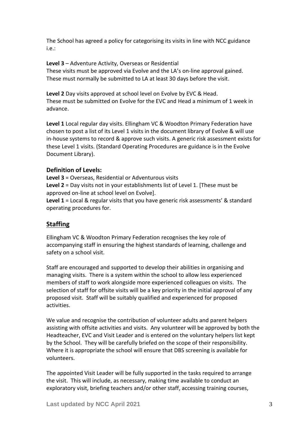The School has agreed a policy for categorising its visits in line with NCC guidance i.e.:

**Level 3** – Adventure Activity, Overseas or Residential These visits must be approved via Evolve and the LA's on-line approval gained. These must normally be submitted to LA at least 30 days before the visit.

**Level 2** Day visits approved at school level on Evolve by EVC & Head. These must be submitted on Evolve for the EVC and Head a minimum of 1 week in advance.

**Level 1** Local regular day visits. Ellingham VC & Woodton Primary Federation have chosen to post a list of its Level 1 visits in the document library of Evolve & will use in-house systems to record & approve such visits. A generic risk assessment exists for these Level 1 visits. (Standard Operating Procedures are guidance is in the Evolve Document Library).

#### **Definition of Levels:**

**Level 3** = Overseas, Residential or Adventurous visits **Level 2** = Day visits not in your establishments list of Level 1. [These must be approved on-line at school level on Evolve].

Level 1 = Local & regular visits that you have generic risk assessments' & standard operating procedures for.

### **Staffing**

Ellingham VC & Woodton Primary Federation recognises the key role of accompanying staff in ensuring the highest standards of learning, challenge and safety on a school visit.

Staff are encouraged and supported to develop their abilities in organising and managing visits. There is a system within the school to allow less experienced members of staff to work alongside more experienced colleagues on visits. The selection of staff for offsite visits will be a key priority in the initial approval of any proposed visit. Staff will be suitably qualified and experienced for proposed activities.

We value and recognise the contribution of volunteer adults and parent helpers assisting with offsite activities and visits. Any volunteer will be approved by both the Headteacher, EVC and Visit Leader and is entered on the voluntary helpers list kept by the School. They will be carefully briefed on the scope of their responsibility. Where it is appropriate the school will ensure that DBS screening is available for volunteers.

The appointed Visit Leader will be fully supported in the tasks required to arrange the visit. This will include, as necessary, making time available to conduct an exploratory visit, briefing teachers and/or other staff, accessing training courses,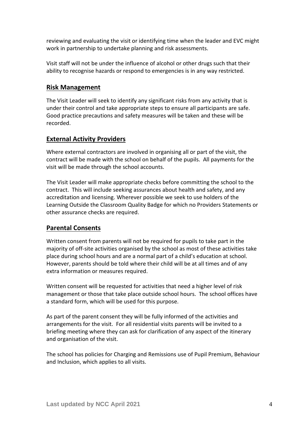reviewing and evaluating the visit or identifying time when the leader and EVC might work in partnership to undertake planning and risk assessments.

Visit staff will not be under the influence of alcohol or other drugs such that their ability to recognise hazards or respond to emergencies is in any way restricted.

#### **Risk Management**

The Visit Leader will seek to identify any significant risks from any activity that is under their control and take appropriate steps to ensure all participants are safe. Good practice precautions and safety measures will be taken and these will be recorded.

#### **External Activity Providers**

Where external contractors are involved in organising all or part of the visit, the contract will be made with the school on behalf of the pupils. All payments for the visit will be made through the school accounts.

The Visit Leader will make appropriate checks before committing the school to the contract. This will include seeking assurances about health and safety, and any accreditation and licensing. Wherever possible we seek to use holders of the Learning Outside the Classroom Quality Badge for which no Providers Statements or other assurance checks are required.

#### **Parental Consents**

Written consent from parents will not be required for pupils to take part in the majority of off-site activities organised by the school as most of these activities take place during school hours and are a normal part of a child's education at school. However, parents should be told where their child will be at all times and of any extra information or measures required.

Written consent will be requested for activities that need a higher level of risk management or those that take place outside school hours. The school offices have a standard form, which will be used for this purpose.

As part of the parent consent they will be fully informed of the activities and arrangements for the visit. For all residential visits parents will be invited to a briefing meeting where they can ask for clarification of any aspect of the itinerary and organisation of the visit.

The school has policies for Charging and Remissions use of Pupil Premium, Behaviour and Inclusion, which applies to all visits.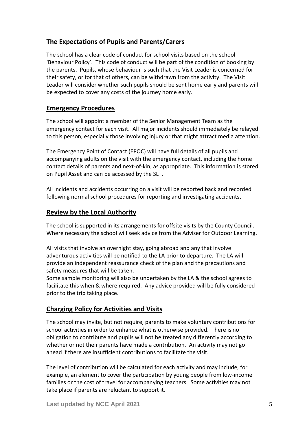# **The Expectations of Pupils and Parents/Carers**

The school has a clear code of conduct for school visits based on the school 'Behaviour Policy'. This code of conduct will be part of the condition of booking by the parents. Pupils, whose behaviour is such that the Visit Leader is concerned for their safety, or for that of others, can be withdrawn from the activity. The Visit Leader will consider whether such pupils should be sent home early and parents will be expected to cover any costs of the journey home early.

#### **Emergency Procedures**

The school will appoint a member of the Senior Management Team as the emergency contact for each visit. All major incidents should immediately be relayed to this person, especially those involving injury or that might attract media attention.

The Emergency Point of Contact (EPOC) will have full details of all pupils and accompanying adults on the visit with the emergency contact, including the home contact details of parents and next-of-kin, as appropriate. This information is stored on Pupil Asset and can be accessed by the SLT.

All incidents and accidents occurring on a visit will be reported back and recorded following normal school procedures for reporting and investigating accidents.

#### **Review by the Local Authority**

The school is supported in its arrangements for offsite visits by the County Council. Where necessary the school will seek advice from the Adviser for Outdoor Learning.

All visits that involve an overnight stay, going abroad and any that involve adventurous activities will be notified to the LA prior to departure. The LA will provide an independent reassurance check of the plan and the precautions and safety measures that will be taken.

Some sample monitoring will also be undertaken by the LA & the school agrees to facilitate this when & where required. Any advice provided will be fully considered prior to the trip taking place.

### **Charging Policy for Activities and Visits**

The school may invite, but not require, parents to make voluntary contributions for school activities in order to enhance what is otherwise provided. There is no obligation to contribute and pupils will not be treated any differently according to whether or not their parents have made a contribution. An activity may not go ahead if there are insufficient contributions to facilitate the visit.

The level of contribution will be calculated for each activity and may include, for example, an element to cover the participation by young people from low-income families or the cost of travel for accompanying teachers. Some activities may not take place if parents are reluctant to support it.